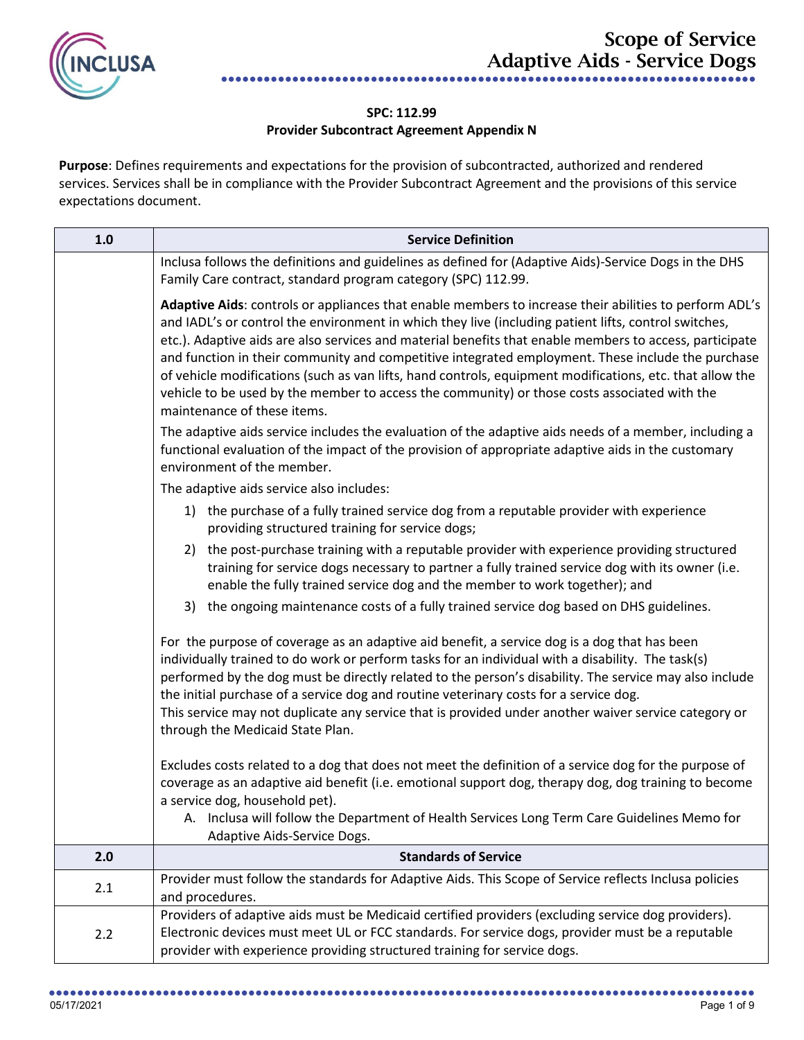

## **SPC: 112.99 Provider Subcontract Agreement Appendix N**

**Purpose**: Defines requirements and expectations for the provision of subcontracted, authorized and rendered services. Services shall be in compliance with the Provider Subcontract Agreement and the provisions of this service expectations document.

| 1.0 | <b>Service Definition</b>                                                                                                                                                                                                                                                                                                                                                                                                                                                                                                                                                                                                                                                 |
|-----|---------------------------------------------------------------------------------------------------------------------------------------------------------------------------------------------------------------------------------------------------------------------------------------------------------------------------------------------------------------------------------------------------------------------------------------------------------------------------------------------------------------------------------------------------------------------------------------------------------------------------------------------------------------------------|
|     | Inclusa follows the definitions and guidelines as defined for (Adaptive Aids)-Service Dogs in the DHS<br>Family Care contract, standard program category (SPC) 112.99.                                                                                                                                                                                                                                                                                                                                                                                                                                                                                                    |
|     | Adaptive Aids: controls or appliances that enable members to increase their abilities to perform ADL's<br>and IADL's or control the environment in which they live (including patient lifts, control switches,<br>etc.). Adaptive aids are also services and material benefits that enable members to access, participate<br>and function in their community and competitive integrated employment. These include the purchase<br>of vehicle modifications (such as van lifts, hand controls, equipment modifications, etc. that allow the<br>vehicle to be used by the member to access the community) or those costs associated with the<br>maintenance of these items. |
|     | The adaptive aids service includes the evaluation of the adaptive aids needs of a member, including a<br>functional evaluation of the impact of the provision of appropriate adaptive aids in the customary<br>environment of the member.                                                                                                                                                                                                                                                                                                                                                                                                                                 |
|     | The adaptive aids service also includes:                                                                                                                                                                                                                                                                                                                                                                                                                                                                                                                                                                                                                                  |
|     | 1) the purchase of a fully trained service dog from a reputable provider with experience<br>providing structured training for service dogs;                                                                                                                                                                                                                                                                                                                                                                                                                                                                                                                               |
|     | 2) the post-purchase training with a reputable provider with experience providing structured<br>training for service dogs necessary to partner a fully trained service dog with its owner (i.e.<br>enable the fully trained service dog and the member to work together); and                                                                                                                                                                                                                                                                                                                                                                                             |
|     | the ongoing maintenance costs of a fully trained service dog based on DHS guidelines.<br>3)                                                                                                                                                                                                                                                                                                                                                                                                                                                                                                                                                                               |
|     | For the purpose of coverage as an adaptive aid benefit, a service dog is a dog that has been<br>individually trained to do work or perform tasks for an individual with a disability. The task(s)<br>performed by the dog must be directly related to the person's disability. The service may also include<br>the initial purchase of a service dog and routine veterinary costs for a service dog.<br>This service may not duplicate any service that is provided under another waiver service category or<br>through the Medicaid State Plan.                                                                                                                          |
|     | Excludes costs related to a dog that does not meet the definition of a service dog for the purpose of<br>coverage as an adaptive aid benefit (i.e. emotional support dog, therapy dog, dog training to become<br>a service dog, household pet).<br>A. Inclusa will follow the Department of Health Services Long Term Care Guidelines Memo for<br>Adaptive Aids-Service Dogs.                                                                                                                                                                                                                                                                                             |
| 2.0 | <b>Standards of Service</b>                                                                                                                                                                                                                                                                                                                                                                                                                                                                                                                                                                                                                                               |
| 2.1 | Provider must follow the standards for Adaptive Aids. This Scope of Service reflects Inclusa policies<br>and procedures.                                                                                                                                                                                                                                                                                                                                                                                                                                                                                                                                                  |
| 2.2 | Providers of adaptive aids must be Medicaid certified providers (excluding service dog providers).<br>Electronic devices must meet UL or FCC standards. For service dogs, provider must be a reputable<br>provider with experience providing structured training for service dogs.                                                                                                                                                                                                                                                                                                                                                                                        |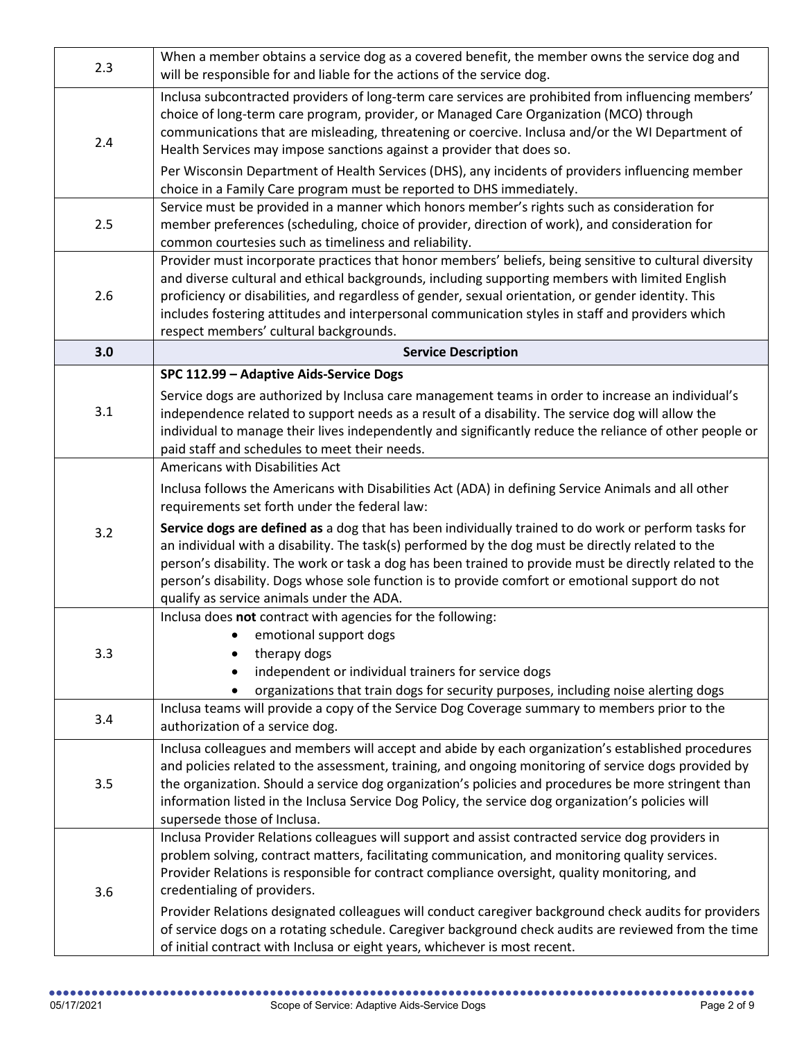| 2.3 | When a member obtains a service dog as a covered benefit, the member owns the service dog and<br>will be responsible for and liable for the actions of the service dog.                                                                                                                                                                                                                                                                                                                                                                                |
|-----|--------------------------------------------------------------------------------------------------------------------------------------------------------------------------------------------------------------------------------------------------------------------------------------------------------------------------------------------------------------------------------------------------------------------------------------------------------------------------------------------------------------------------------------------------------|
| 2.4 | Inclusa subcontracted providers of long-term care services are prohibited from influencing members'<br>choice of long-term care program, provider, or Managed Care Organization (MCO) through<br>communications that are misleading, threatening or coercive. Inclusa and/or the WI Department of<br>Health Services may impose sanctions against a provider that does so.<br>Per Wisconsin Department of Health Services (DHS), any incidents of providers influencing member<br>choice in a Family Care program must be reported to DHS immediately. |
| 2.5 | Service must be provided in a manner which honors member's rights such as consideration for<br>member preferences (scheduling, choice of provider, direction of work), and consideration for<br>common courtesies such as timeliness and reliability.                                                                                                                                                                                                                                                                                                  |
| 2.6 | Provider must incorporate practices that honor members' beliefs, being sensitive to cultural diversity<br>and diverse cultural and ethical backgrounds, including supporting members with limited English<br>proficiency or disabilities, and regardless of gender, sexual orientation, or gender identity. This<br>includes fostering attitudes and interpersonal communication styles in staff and providers which<br>respect members' cultural backgrounds.                                                                                         |
| 3.0 | <b>Service Description</b>                                                                                                                                                                                                                                                                                                                                                                                                                                                                                                                             |
| 3.1 | SPC 112.99 - Adaptive Aids-Service Dogs<br>Service dogs are authorized by Inclusa care management teams in order to increase an individual's<br>independence related to support needs as a result of a disability. The service dog will allow the<br>individual to manage their lives independently and significantly reduce the reliance of other people or                                                                                                                                                                                           |
| 3.2 | paid staff and schedules to meet their needs.<br>Americans with Disabilities Act<br>Inclusa follows the Americans with Disabilities Act (ADA) in defining Service Animals and all other                                                                                                                                                                                                                                                                                                                                                                |
|     | requirements set forth under the federal law:<br>Service dogs are defined as a dog that has been individually trained to do work or perform tasks for<br>an individual with a disability. The task(s) performed by the dog must be directly related to the<br>person's disability. The work or task a dog has been trained to provide must be directly related to the<br>person's disability. Dogs whose sole function is to provide comfort or emotional support do not<br>qualify as service animals under the ADA.                                  |
| 3.3 | Inclusa does not contract with agencies for the following:<br>• emotional support dogs<br>therapy dogs<br>independent or individual trainers for service dogs<br>organizations that train dogs for security purposes, including noise alerting dogs                                                                                                                                                                                                                                                                                                    |
| 3.4 | Inclusa teams will provide a copy of the Service Dog Coverage summary to members prior to the<br>authorization of a service dog.                                                                                                                                                                                                                                                                                                                                                                                                                       |
| 3.5 | Inclusa colleagues and members will accept and abide by each organization's established procedures<br>and policies related to the assessment, training, and ongoing monitoring of service dogs provided by<br>the organization. Should a service dog organization's policies and procedures be more stringent than<br>information listed in the Inclusa Service Dog Policy, the service dog organization's policies will<br>supersede those of Inclusa.                                                                                                |
| 3.6 | Inclusa Provider Relations colleagues will support and assist contracted service dog providers in<br>problem solving, contract matters, facilitating communication, and monitoring quality services.<br>Provider Relations is responsible for contract compliance oversight, quality monitoring, and<br>credentialing of providers.<br>Provider Relations designated colleagues will conduct caregiver background check audits for providers                                                                                                           |
|     | of service dogs on a rotating schedule. Caregiver background check audits are reviewed from the time<br>of initial contract with Inclusa or eight years, whichever is most recent.                                                                                                                                                                                                                                                                                                                                                                     |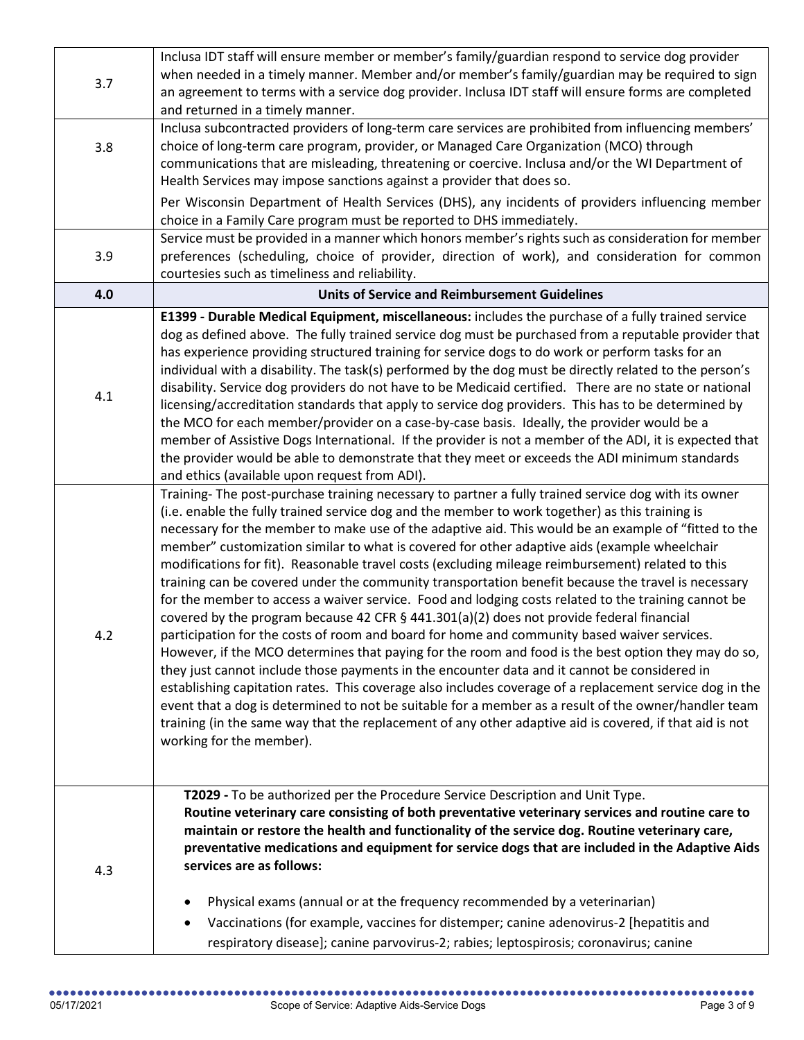|     | Inclusa IDT staff will ensure member or member's family/guardian respond to service dog provider                                                                                                         |
|-----|----------------------------------------------------------------------------------------------------------------------------------------------------------------------------------------------------------|
| 3.7 | when needed in a timely manner. Member and/or member's family/guardian may be required to sign                                                                                                           |
|     | an agreement to terms with a service dog provider. Inclusa IDT staff will ensure forms are completed                                                                                                     |
|     | and returned in a timely manner.                                                                                                                                                                         |
|     | Inclusa subcontracted providers of long-term care services are prohibited from influencing members'                                                                                                      |
| 3.8 | choice of long-term care program, provider, or Managed Care Organization (MCO) through                                                                                                                   |
|     | communications that are misleading, threatening or coercive. Inclusa and/or the WI Department of                                                                                                         |
|     | Health Services may impose sanctions against a provider that does so.                                                                                                                                    |
|     | Per Wisconsin Department of Health Services (DHS), any incidents of providers influencing member                                                                                                         |
|     | choice in a Family Care program must be reported to DHS immediately.                                                                                                                                     |
| 3.9 | Service must be provided in a manner which honors member's rights such as consideration for member                                                                                                       |
|     | preferences (scheduling, choice of provider, direction of work), and consideration for common<br>courtesies such as timeliness and reliability.                                                          |
| 4.0 | <b>Units of Service and Reimbursement Guidelines</b>                                                                                                                                                     |
|     | E1399 - Durable Medical Equipment, miscellaneous: includes the purchase of a fully trained service                                                                                                       |
|     | dog as defined above. The fully trained service dog must be purchased from a reputable provider that                                                                                                     |
|     | has experience providing structured training for service dogs to do work or perform tasks for an                                                                                                         |
|     | individual with a disability. The task(s) performed by the dog must be directly related to the person's                                                                                                  |
| 4.1 | disability. Service dog providers do not have to be Medicaid certified. There are no state or national                                                                                                   |
|     | licensing/accreditation standards that apply to service dog providers. This has to be determined by                                                                                                      |
|     | the MCO for each member/provider on a case-by-case basis. Ideally, the provider would be a                                                                                                               |
|     | member of Assistive Dogs International. If the provider is not a member of the ADI, it is expected that<br>the provider would be able to demonstrate that they meet or exceeds the ADI minimum standards |
|     | and ethics (available upon request from ADI).                                                                                                                                                            |
|     | Training- The post-purchase training necessary to partner a fully trained service dog with its owner                                                                                                     |
|     | (i.e. enable the fully trained service dog and the member to work together) as this training is                                                                                                          |
|     | necessary for the member to make use of the adaptive aid. This would be an example of "fitted to the                                                                                                     |
|     | member" customization similar to what is covered for other adaptive aids (example wheelchair                                                                                                             |
|     | modifications for fit). Reasonable travel costs (excluding mileage reimbursement) related to this                                                                                                        |
|     | training can be covered under the community transportation benefit because the travel is necessary                                                                                                       |
|     | for the member to access a waiver service. Food and lodging costs related to the training cannot be                                                                                                      |
|     | covered by the program because 42 CFR $\S$ 441.301(a)(2) does not provide federal financial<br>participation for the costs of room and board for home and community based waiver services.               |
| 4.2 | However, if the MCO determines that paying for the room and food is the best option they may do so,                                                                                                      |
|     | they just cannot include those payments in the encounter data and it cannot be considered in                                                                                                             |
|     | establishing capitation rates. This coverage also includes coverage of a replacement service dog in the                                                                                                  |
|     | event that a dog is determined to not be suitable for a member as a result of the owner/handler team                                                                                                     |
|     | training (in the same way that the replacement of any other adaptive aid is covered, if that aid is not                                                                                                  |
|     | working for the member).                                                                                                                                                                                 |
|     |                                                                                                                                                                                                          |
|     |                                                                                                                                                                                                          |
|     | T2029 - To be authorized per the Procedure Service Description and Unit Type.<br>Routine veterinary care consisting of both preventative veterinary services and routine care to                         |
|     | maintain or restore the health and functionality of the service dog. Routine veterinary care,                                                                                                            |
|     | preventative medications and equipment for service dogs that are included in the Adaptive Aids                                                                                                           |
| 4.3 | services are as follows:                                                                                                                                                                                 |
|     | Physical exams (annual or at the frequency recommended by a veterinarian)                                                                                                                                |
|     | Vaccinations (for example, vaccines for distemper; canine adenovirus-2 [hepatitis and<br>٠                                                                                                               |
|     | respiratory disease]; canine parvovirus-2; rabies; leptospirosis; coronavirus; canine                                                                                                                    |
|     |                                                                                                                                                                                                          |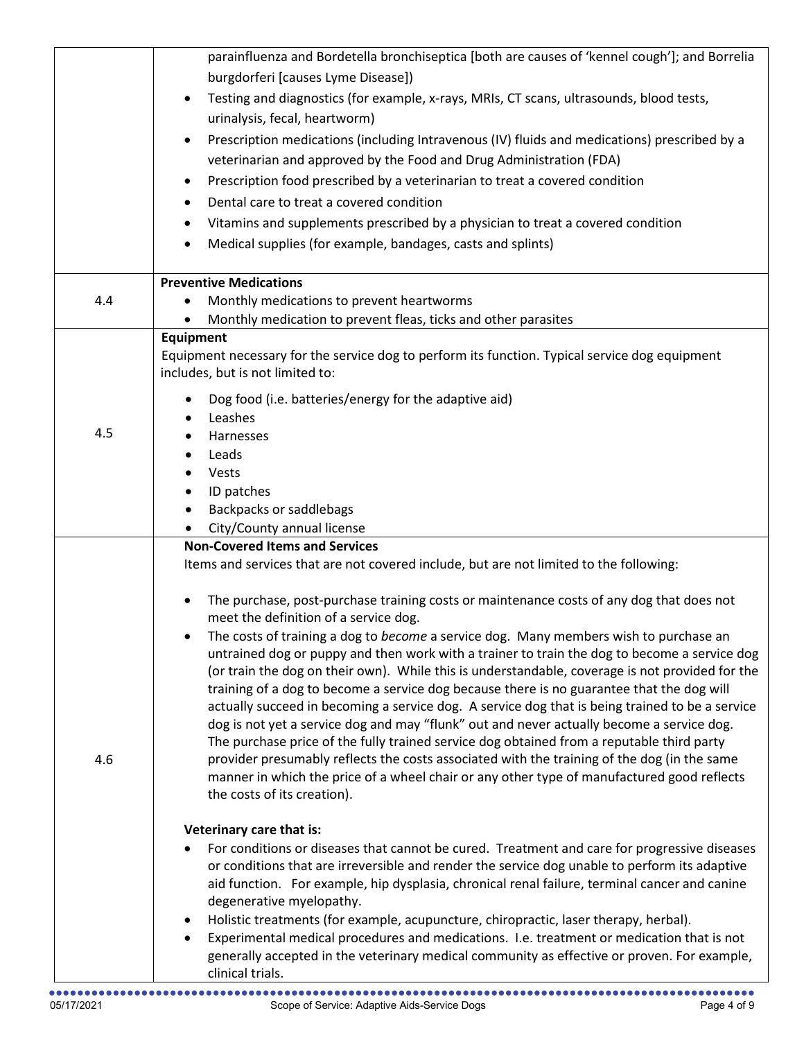|     | parainfluenza and Bordetella bronchiseptica [both are causes of 'kennel cough']; and Borrelia                                                                                                |
|-----|----------------------------------------------------------------------------------------------------------------------------------------------------------------------------------------------|
|     | burgdorferi [causes Lyme Disease])                                                                                                                                                           |
|     | Testing and diagnostics (for example, x-rays, MRIs, CT scans, ultrasounds, blood tests,<br>$\bullet$<br>urinalysis, fecal, heartworm)                                                        |
|     | Prescription medications (including Intravenous (IV) fluids and medications) prescribed by a<br>$\bullet$                                                                                    |
|     | veterinarian and approved by the Food and Drug Administration (FDA)                                                                                                                          |
|     | Prescription food prescribed by a veterinarian to treat a covered condition                                                                                                                  |
|     | ٠<br>Dental care to treat a covered condition                                                                                                                                                |
|     | $\bullet$                                                                                                                                                                                    |
|     | Vitamins and supplements prescribed by a physician to treat a covered condition                                                                                                              |
|     | Medical supplies (for example, bandages, casts and splints)                                                                                                                                  |
|     | <b>Preventive Medications</b>                                                                                                                                                                |
| 4.4 | Monthly medications to prevent heartworms<br>$\bullet$                                                                                                                                       |
|     | Monthly medication to prevent fleas, ticks and other parasites                                                                                                                               |
|     | <b>Equipment</b>                                                                                                                                                                             |
|     | Equipment necessary for the service dog to perform its function. Typical service dog equipment<br>includes, but is not limited to:                                                           |
|     | Dog food (i.e. batteries/energy for the adaptive aid)                                                                                                                                        |
|     | Leashes                                                                                                                                                                                      |
| 4.5 | Harnesses                                                                                                                                                                                    |
|     | Leads                                                                                                                                                                                        |
|     | Vests                                                                                                                                                                                        |
|     | ID patches                                                                                                                                                                                   |
|     | <b>Backpacks or saddlebags</b>                                                                                                                                                               |
|     | City/County annual license<br><b>Non-Covered Items and Services</b>                                                                                                                          |
|     | Items and services that are not covered include, but are not limited to the following:                                                                                                       |
|     |                                                                                                                                                                                              |
|     | The purchase, post-purchase training costs or maintenance costs of any dog that does not                                                                                                     |
|     | meet the definition of a service dog.                                                                                                                                                        |
|     | The costs of training a dog to become a service dog. Many members wish to purchase an                                                                                                        |
|     | untrained dog or puppy and then work with a trainer to train the dog to become a service dog                                                                                                 |
|     | (or train the dog on their own). While this is understandable, coverage is not provided for the<br>training of a dog to become a service dog because there is no guarantee that the dog will |
|     | actually succeed in becoming a service dog. A service dog that is being trained to be a service                                                                                              |
|     | dog is not yet a service dog and may "flunk" out and never actually become a service dog.                                                                                                    |
|     | The purchase price of the fully trained service dog obtained from a reputable third party                                                                                                    |
| 4.6 | provider presumably reflects the costs associated with the training of the dog (in the same                                                                                                  |
|     | manner in which the price of a wheel chair or any other type of manufactured good reflects                                                                                                   |
|     | the costs of its creation).                                                                                                                                                                  |
|     | Veterinary care that is:                                                                                                                                                                     |
|     | For conditions or diseases that cannot be cured. Treatment and care for progressive diseases                                                                                                 |
|     | or conditions that are irreversible and render the service dog unable to perform its adaptive                                                                                                |
|     | aid function. For example, hip dysplasia, chronical renal failure, terminal cancer and canine                                                                                                |
|     | degenerative myelopathy.<br>Holistic treatments (for example, acupuncture, chiropractic, laser therapy, herbal).<br>$\bullet$                                                                |
|     | Experimental medical procedures and medications. I.e. treatment or medication that is not                                                                                                    |
|     | generally accepted in the veterinary medical community as effective or proven. For example,                                                                                                  |
|     | clinical trials.                                                                                                                                                                             |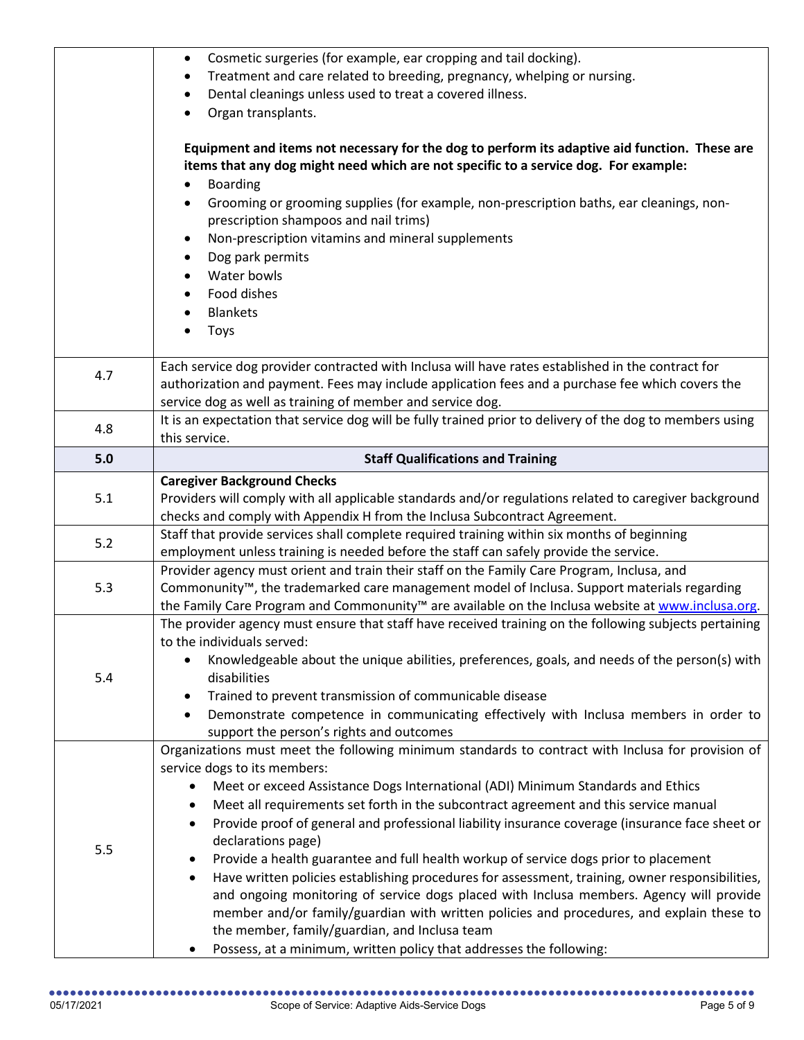|     | Cosmetic surgeries (for example, ear cropping and tail docking).<br>$\bullet$<br>Treatment and care related to breeding, pregnancy, whelping or nursing.<br>Dental cleanings unless used to treat a covered illness.<br>Organ transplants.<br>Equipment and items not necessary for the dog to perform its adaptive aid function. These are<br>items that any dog might need which are not specific to a service dog. For example:<br><b>Boarding</b><br>Grooming or grooming supplies (for example, non-prescription baths, ear cleanings, non-<br>٠                                                                                                                                                                                                                                                                                                                                                                                                                                            |
|-----|--------------------------------------------------------------------------------------------------------------------------------------------------------------------------------------------------------------------------------------------------------------------------------------------------------------------------------------------------------------------------------------------------------------------------------------------------------------------------------------------------------------------------------------------------------------------------------------------------------------------------------------------------------------------------------------------------------------------------------------------------------------------------------------------------------------------------------------------------------------------------------------------------------------------------------------------------------------------------------------------------|
|     | prescription shampoos and nail trims)<br>Non-prescription vitamins and mineral supplements<br>Dog park permits<br>Water bowls<br>Food dishes<br><b>Blankets</b><br><b>Toys</b>                                                                                                                                                                                                                                                                                                                                                                                                                                                                                                                                                                                                                                                                                                                                                                                                                   |
| 4.7 | Each service dog provider contracted with Inclusa will have rates established in the contract for<br>authorization and payment. Fees may include application fees and a purchase fee which covers the<br>service dog as well as training of member and service dog.<br>It is an expectation that service dog will be fully trained prior to delivery of the dog to members using                                                                                                                                                                                                                                                                                                                                                                                                                                                                                                                                                                                                                 |
| 4.8 | this service.                                                                                                                                                                                                                                                                                                                                                                                                                                                                                                                                                                                                                                                                                                                                                                                                                                                                                                                                                                                    |
| 5.0 | <b>Staff Qualifications and Training</b>                                                                                                                                                                                                                                                                                                                                                                                                                                                                                                                                                                                                                                                                                                                                                                                                                                                                                                                                                         |
| 5.1 | <b>Caregiver Background Checks</b><br>Providers will comply with all applicable standards and/or regulations related to caregiver background<br>checks and comply with Appendix H from the Inclusa Subcontract Agreement.                                                                                                                                                                                                                                                                                                                                                                                                                                                                                                                                                                                                                                                                                                                                                                        |
| 5.2 | Staff that provide services shall complete required training within six months of beginning<br>employment unless training is needed before the staff can safely provide the service.                                                                                                                                                                                                                                                                                                                                                                                                                                                                                                                                                                                                                                                                                                                                                                                                             |
| 5.3 | Provider agency must orient and train their staff on the Family Care Program, Inclusa, and<br>Commonunity <sup>™</sup> , the trademarked care management model of Inclusa. Support materials regarding<br>the Family Care Program and Commonunity <sup>™</sup> are available on the Inclusa website at www.inclusa.org.                                                                                                                                                                                                                                                                                                                                                                                                                                                                                                                                                                                                                                                                          |
| 5.4 | The provider agency must ensure that staff have received training on the following subjects pertaining<br>to the individuals served:<br>Knowledgeable about the unique abilities, preferences, goals, and needs of the person(s) with<br>disabilities<br>Trained to prevent transmission of communicable disease<br>$\bullet$<br>Demonstrate competence in communicating effectively with Inclusa members in order to<br>support the person's rights and outcomes                                                                                                                                                                                                                                                                                                                                                                                                                                                                                                                                |
| 5.5 | Organizations must meet the following minimum standards to contract with Inclusa for provision of<br>service dogs to its members:<br>Meet or exceed Assistance Dogs International (ADI) Minimum Standards and Ethics<br>Meet all requirements set forth in the subcontract agreement and this service manual<br>٠<br>Provide proof of general and professional liability insurance coverage (insurance face sheet or<br>$\bullet$<br>declarations page)<br>Provide a health guarantee and full health workup of service dogs prior to placement<br>$\bullet$<br>Have written policies establishing procedures for assessment, training, owner responsibilities,<br>$\bullet$<br>and ongoing monitoring of service dogs placed with Inclusa members. Agency will provide<br>member and/or family/guardian with written policies and procedures, and explain these to<br>the member, family/guardian, and Inclusa team<br>Possess, at a minimum, written policy that addresses the following:<br>٠ |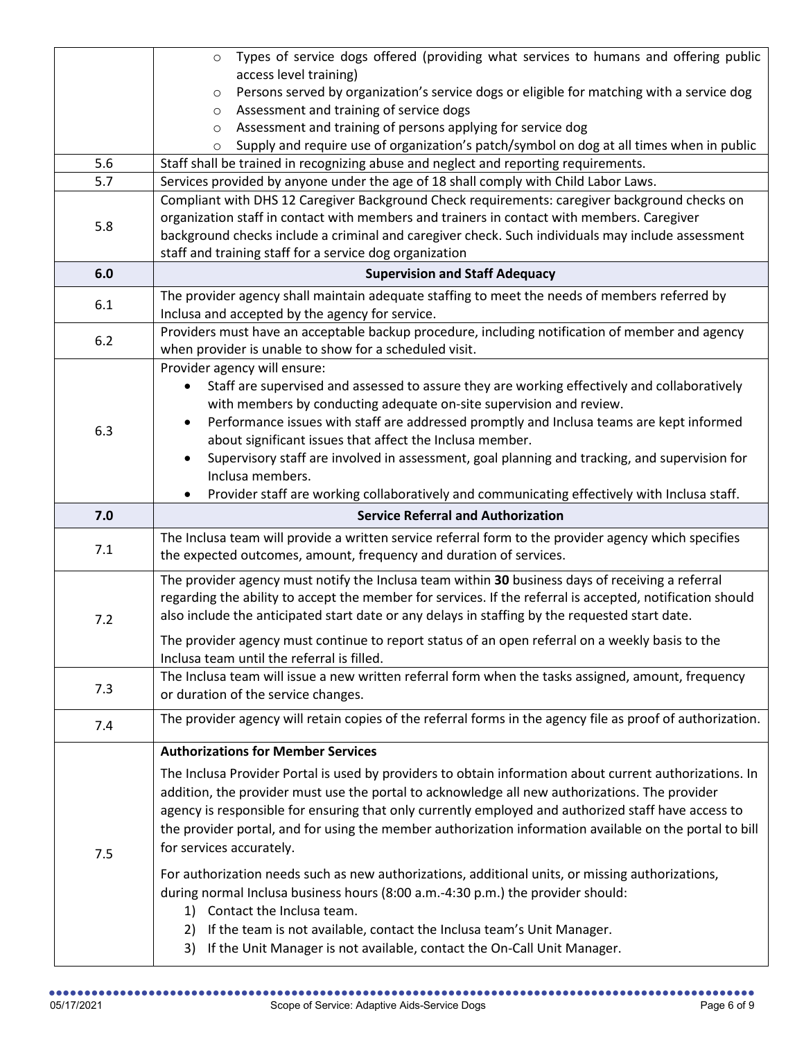|       | Types of service dogs offered (providing what services to humans and offering public<br>$\circ$                                                                            |
|-------|----------------------------------------------------------------------------------------------------------------------------------------------------------------------------|
|       | access level training)                                                                                                                                                     |
|       | Persons served by organization's service dogs or eligible for matching with a service dog<br>$\circ$                                                                       |
|       | Assessment and training of service dogs<br>$\circ$<br>Assessment and training of persons applying for service dog<br>$\circ$                                               |
|       | Supply and require use of organization's patch/symbol on dog at all times when in public<br>O                                                                              |
| 5.6   | Staff shall be trained in recognizing abuse and neglect and reporting requirements.                                                                                        |
| 5.7   | Services provided by anyone under the age of 18 shall comply with Child Labor Laws.                                                                                        |
|       | Compliant with DHS 12 Caregiver Background Check requirements: caregiver background checks on                                                                              |
| 5.8   | organization staff in contact with members and trainers in contact with members. Caregiver                                                                                 |
|       | background checks include a criminal and caregiver check. Such individuals may include assessment                                                                          |
|       | staff and training staff for a service dog organization                                                                                                                    |
| 6.0   | <b>Supervision and Staff Adequacy</b>                                                                                                                                      |
| 6.1   | The provider agency shall maintain adequate staffing to meet the needs of members referred by<br>Inclusa and accepted by the agency for service.                           |
| $6.2$ | Providers must have an acceptable backup procedure, including notification of member and agency<br>when provider is unable to show for a scheduled visit.                  |
|       | Provider agency will ensure:                                                                                                                                               |
|       | Staff are supervised and assessed to assure they are working effectively and collaboratively                                                                               |
|       | with members by conducting adequate on-site supervision and review.                                                                                                        |
| 6.3   | Performance issues with staff are addressed promptly and Inclusa teams are kept informed                                                                                   |
|       | about significant issues that affect the Inclusa member.                                                                                                                   |
|       | Supervisory staff are involved in assessment, goal planning and tracking, and supervision for<br>Inclusa members.                                                          |
|       | Provider staff are working collaboratively and communicating effectively with Inclusa staff.                                                                               |
|       |                                                                                                                                                                            |
|       |                                                                                                                                                                            |
| 7.0   | <b>Service Referral and Authorization</b>                                                                                                                                  |
| 7.1   | The Inclusa team will provide a written service referral form to the provider agency which specifies<br>the expected outcomes, amount, frequency and duration of services. |
|       | The provider agency must notify the Inclusa team within 30 business days of receiving a referral                                                                           |
|       | regarding the ability to accept the member for services. If the referral is accepted, notification should                                                                  |
| 7.2   | also include the anticipated start date or any delays in staffing by the requested start date.                                                                             |
|       | The provider agency must continue to report status of an open referral on a weekly basis to the                                                                            |
|       | Inclusa team until the referral is filled.                                                                                                                                 |
|       | The Inclusa team will issue a new written referral form when the tasks assigned, amount, frequency                                                                         |
| 7.3   | or duration of the service changes.                                                                                                                                        |
| 7.4   | The provider agency will retain copies of the referral forms in the agency file as proof of authorization.                                                                 |
|       | <b>Authorizations for Member Services</b>                                                                                                                                  |
|       | The Inclusa Provider Portal is used by providers to obtain information about current authorizations. In                                                                    |
|       | addition, the provider must use the portal to acknowledge all new authorizations. The provider                                                                             |
|       | agency is responsible for ensuring that only currently employed and authorized staff have access to                                                                        |
|       | the provider portal, and for using the member authorization information available on the portal to bill                                                                    |
| 7.5   | for services accurately.                                                                                                                                                   |
|       | For authorization needs such as new authorizations, additional units, or missing authorizations,                                                                           |
|       | during normal Inclusa business hours (8:00 a.m.-4:30 p.m.) the provider should:                                                                                            |
|       | 1) Contact the Inclusa team.                                                                                                                                               |
|       | If the team is not available, contact the Inclusa team's Unit Manager.<br>2)                                                                                               |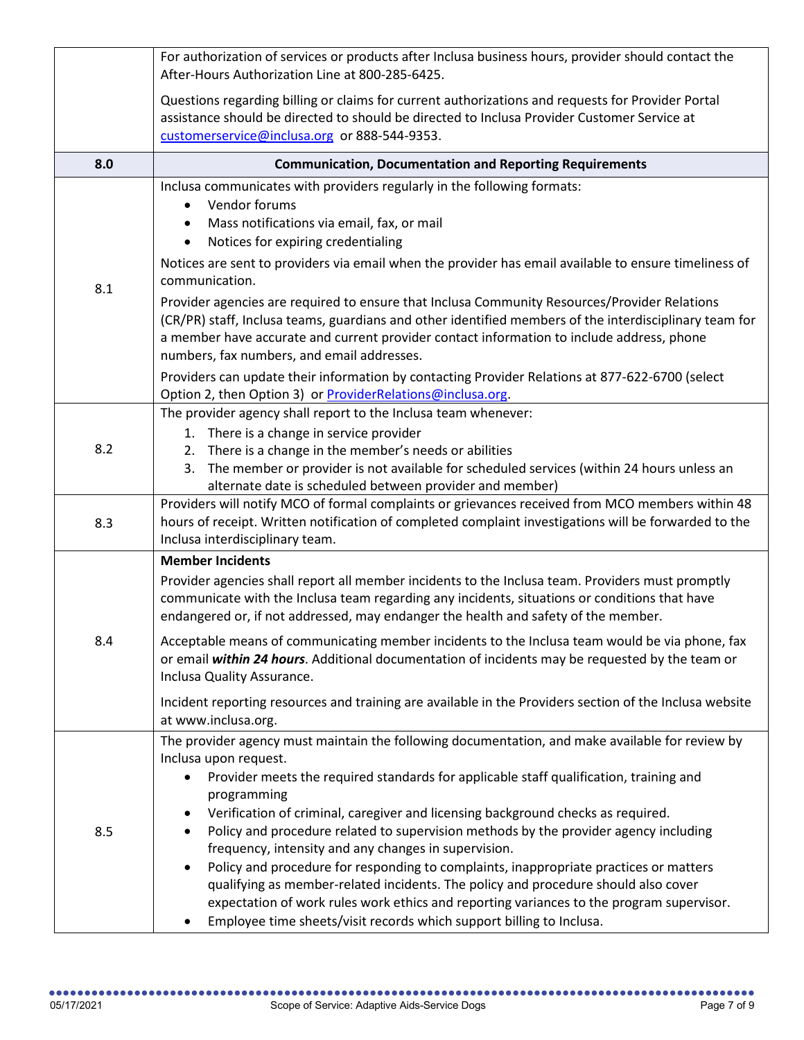|     | For authorization of services or products after Inclusa business hours, provider should contact the<br>After-Hours Authorization Line at 800-285-6425.                                                                                                                                                                                                                                                                                                                                                                                                                                                                                                                                                                                                                                                                                |
|-----|---------------------------------------------------------------------------------------------------------------------------------------------------------------------------------------------------------------------------------------------------------------------------------------------------------------------------------------------------------------------------------------------------------------------------------------------------------------------------------------------------------------------------------------------------------------------------------------------------------------------------------------------------------------------------------------------------------------------------------------------------------------------------------------------------------------------------------------|
|     | Questions regarding billing or claims for current authorizations and requests for Provider Portal<br>assistance should be directed to should be directed to Inclusa Provider Customer Service at<br>customerservice@inclusa.org or 888-544-9353.                                                                                                                                                                                                                                                                                                                                                                                                                                                                                                                                                                                      |
| 8.0 | <b>Communication, Documentation and Reporting Requirements</b>                                                                                                                                                                                                                                                                                                                                                                                                                                                                                                                                                                                                                                                                                                                                                                        |
| 8.1 | Inclusa communicates with providers regularly in the following formats:<br>Vendor forums<br>$\bullet$<br>Mass notifications via email, fax, or mail<br>$\bullet$<br>Notices for expiring credentialing<br>$\bullet$                                                                                                                                                                                                                                                                                                                                                                                                                                                                                                                                                                                                                   |
|     | Notices are sent to providers via email when the provider has email available to ensure timeliness of<br>communication.<br>Provider agencies are required to ensure that Inclusa Community Resources/Provider Relations<br>(CR/PR) staff, Inclusa teams, guardians and other identified members of the interdisciplinary team for<br>a member have accurate and current provider contact information to include address, phone<br>numbers, fax numbers, and email addresses.                                                                                                                                                                                                                                                                                                                                                          |
|     | Providers can update their information by contacting Provider Relations at 877-622-6700 (select<br>Option 2, then Option 3) or <b>ProviderRelations@inclusa.org</b> .                                                                                                                                                                                                                                                                                                                                                                                                                                                                                                                                                                                                                                                                 |
| 8.2 | The provider agency shall report to the Inclusa team whenever:<br>1. There is a change in service provider<br>There is a change in the member's needs or abilities<br>2.<br>The member or provider is not available for scheduled services (within 24 hours unless an<br>3.<br>alternate date is scheduled between provider and member)                                                                                                                                                                                                                                                                                                                                                                                                                                                                                               |
| 8.3 | Providers will notify MCO of formal complaints or grievances received from MCO members within 48<br>hours of receipt. Written notification of completed complaint investigations will be forwarded to the<br>Inclusa interdisciplinary team.                                                                                                                                                                                                                                                                                                                                                                                                                                                                                                                                                                                          |
| 8.4 | <b>Member Incidents</b><br>Provider agencies shall report all member incidents to the Inclusa team. Providers must promptly<br>communicate with the Inclusa team regarding any incidents, situations or conditions that have<br>endangered or, if not addressed, may endanger the health and safety of the member.                                                                                                                                                                                                                                                                                                                                                                                                                                                                                                                    |
|     | Acceptable means of communicating member incidents to the Inclusa team would be via phone, fax<br>or email within 24 hours. Additional documentation of incidents may be requested by the team or<br>Inclusa Quality Assurance.<br>Incident reporting resources and training are available in the Providers section of the Inclusa website<br>at www.inclusa.org.                                                                                                                                                                                                                                                                                                                                                                                                                                                                     |
| 8.5 | The provider agency must maintain the following documentation, and make available for review by<br>Inclusa upon request.<br>Provider meets the required standards for applicable staff qualification, training and<br>$\bullet$<br>programming<br>Verification of criminal, caregiver and licensing background checks as required.<br>Policy and procedure related to supervision methods by the provider agency including<br>frequency, intensity and any changes in supervision.<br>Policy and procedure for responding to complaints, inappropriate practices or matters<br>qualifying as member-related incidents. The policy and procedure should also cover<br>expectation of work rules work ethics and reporting variances to the program supervisor.<br>Employee time sheets/visit records which support billing to Inclusa. |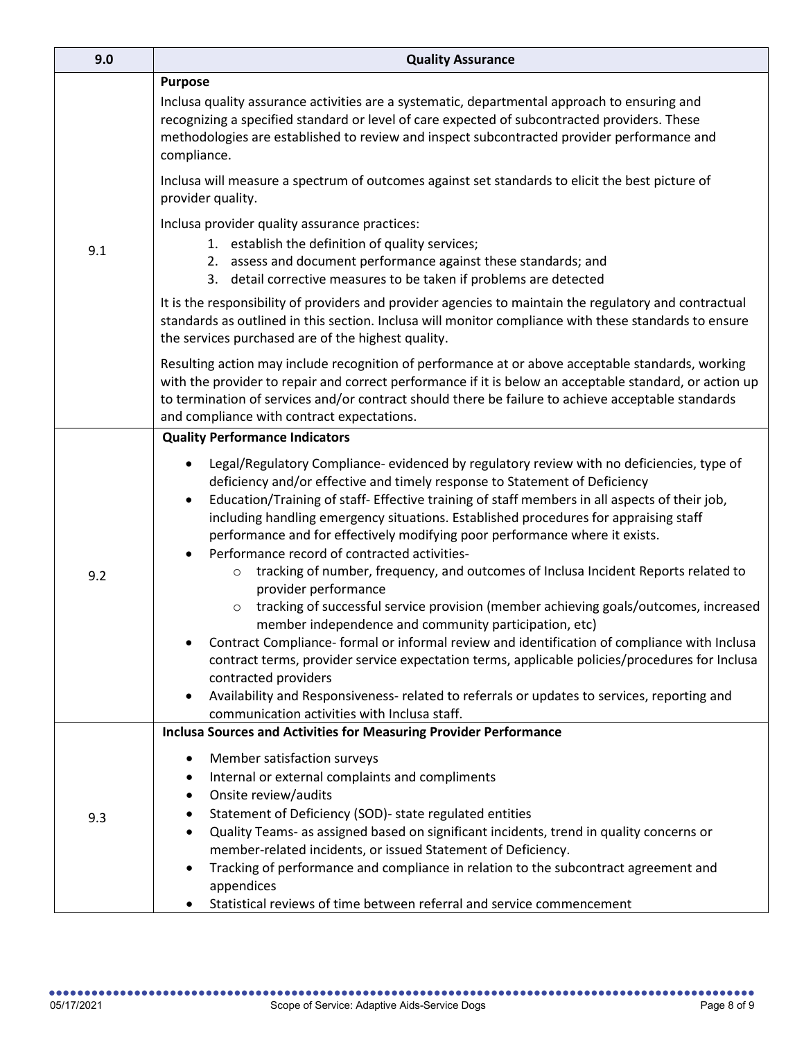| 9.0 | <b>Quality Assurance</b>                                                                                                                                                                                                                                                                                                                                                                                                                                                                                     |
|-----|--------------------------------------------------------------------------------------------------------------------------------------------------------------------------------------------------------------------------------------------------------------------------------------------------------------------------------------------------------------------------------------------------------------------------------------------------------------------------------------------------------------|
| 9.1 | <b>Purpose</b><br>Inclusa quality assurance activities are a systematic, departmental approach to ensuring and<br>recognizing a specified standard or level of care expected of subcontracted providers. These<br>methodologies are established to review and inspect subcontracted provider performance and<br>compliance.                                                                                                                                                                                  |
|     | Inclusa will measure a spectrum of outcomes against set standards to elicit the best picture of<br>provider quality.                                                                                                                                                                                                                                                                                                                                                                                         |
|     | Inclusa provider quality assurance practices:<br>1. establish the definition of quality services;<br>2. assess and document performance against these standards; and<br>3. detail corrective measures to be taken if problems are detected                                                                                                                                                                                                                                                                   |
|     | It is the responsibility of providers and provider agencies to maintain the regulatory and contractual<br>standards as outlined in this section. Inclusa will monitor compliance with these standards to ensure<br>the services purchased are of the highest quality.                                                                                                                                                                                                                                        |
|     | Resulting action may include recognition of performance at or above acceptable standards, working<br>with the provider to repair and correct performance if it is below an acceptable standard, or action up<br>to termination of services and/or contract should there be failure to achieve acceptable standards<br>and compliance with contract expectations.                                                                                                                                             |
|     | <b>Quality Performance Indicators</b>                                                                                                                                                                                                                                                                                                                                                                                                                                                                        |
| 9.2 | Legal/Regulatory Compliance- evidenced by regulatory review with no deficiencies, type of<br>deficiency and/or effective and timely response to Statement of Deficiency<br>Education/Training of staff- Effective training of staff members in all aspects of their job,<br>$\bullet$<br>including handling emergency situations. Established procedures for appraising staff<br>performance and for effectively modifying poor performance where it exists.<br>Performance record of contracted activities- |
|     | tracking of number, frequency, and outcomes of Inclusa Incident Reports related to<br>$\circ$<br>provider performance<br>tracking of successful service provision (member achieving goals/outcomes, increased<br>$\circ$<br>member independence and community participation, etc)                                                                                                                                                                                                                            |
|     | Contract Compliance- formal or informal review and identification of compliance with Inclusa<br>٠<br>contract terms, provider service expectation terms, applicable policies/procedures for Inclusa<br>contracted providers<br>Availability and Responsiveness- related to referrals or updates to services, reporting and<br>$\bullet$                                                                                                                                                                      |
|     | communication activities with Inclusa staff.<br><b>Inclusa Sources and Activities for Measuring Provider Performance</b>                                                                                                                                                                                                                                                                                                                                                                                     |
| 9.3 | Member satisfaction surveys<br>$\bullet$<br>Internal or external complaints and compliments<br>Onsite review/audits<br>$\bullet$<br>Statement of Deficiency (SOD)- state regulated entities<br>٠<br>Quality Teams- as assigned based on significant incidents, trend in quality concerns or<br>٠<br>member-related incidents, or issued Statement of Deficiency.<br>Tracking of performance and compliance in relation to the subcontract agreement and<br>appendices                                        |
|     | Statistical reviews of time between referral and service commencement                                                                                                                                                                                                                                                                                                                                                                                                                                        |